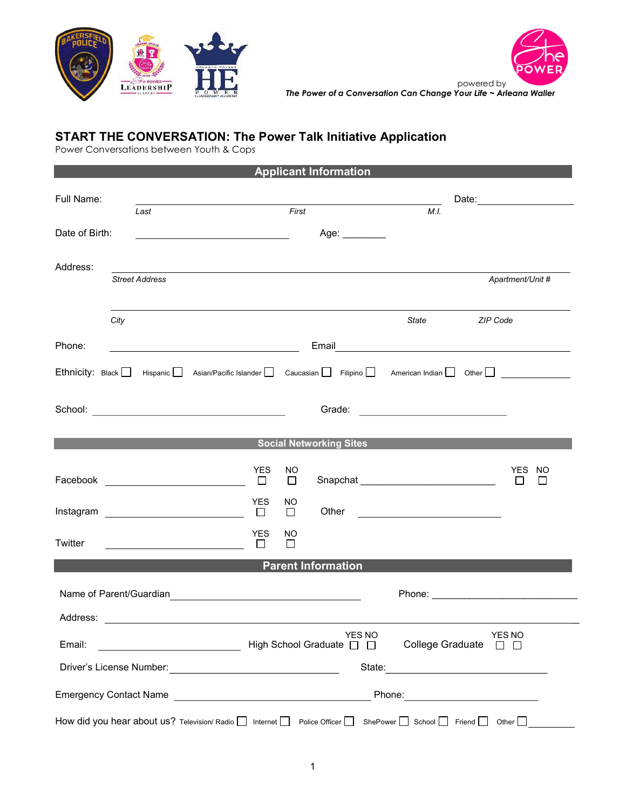



The Power of a Conversation Can Change Your Life ~ Arleana Waller

# START THE CONVERSATION: The Power Talk Initiative Application

Power Conversations between Youth & Cops

|                |                                                                                                                                          |                                                                                                                |                                                                                                                          | <b>Applicant Information</b> |                                      |                                                                                                                      |  |  |
|----------------|------------------------------------------------------------------------------------------------------------------------------------------|----------------------------------------------------------------------------------------------------------------|--------------------------------------------------------------------------------------------------------------------------|------------------------------|--------------------------------------|----------------------------------------------------------------------------------------------------------------------|--|--|
| Full Name:     |                                                                                                                                          |                                                                                                                |                                                                                                                          |                              |                                      | Date: _____________________                                                                                          |  |  |
|                | Last                                                                                                                                     |                                                                                                                | First                                                                                                                    |                              | M.I.                                 |                                                                                                                      |  |  |
| Date of Birth: |                                                                                                                                          |                                                                                                                |                                                                                                                          | Age: ________                |                                      |                                                                                                                      |  |  |
| Address:       |                                                                                                                                          |                                                                                                                |                                                                                                                          |                              |                                      |                                                                                                                      |  |  |
|                | <b>Street Address</b>                                                                                                                    |                                                                                                                |                                                                                                                          |                              |                                      | Apartment/Unit #                                                                                                     |  |  |
|                |                                                                                                                                          |                                                                                                                |                                                                                                                          |                              |                                      |                                                                                                                      |  |  |
|                | City                                                                                                                                     |                                                                                                                |                                                                                                                          |                              | <b>State State</b>                   | ZIP Code                                                                                                             |  |  |
| Phone:         |                                                                                                                                          | Email 2008 - 2009 - 2010 - 2010 - 2010 - 2011 - 2012 - 2012 - 2014 - 2014 - 2014 - 2014 - 2014 - 2014 - 2014 - |                                                                                                                          |                              |                                      |                                                                                                                      |  |  |
|                |                                                                                                                                          |                                                                                                                |                                                                                                                          |                              |                                      | Ethnicity: Black   Hispanic   Asian/Pacific Islander   Caucasian   Filipino   American Indian   Other   ____________ |  |  |
|                |                                                                                                                                          |                                                                                                                |                                                                                                                          |                              |                                      |                                                                                                                      |  |  |
|                |                                                                                                                                          |                                                                                                                |                                                                                                                          |                              |                                      |                                                                                                                      |  |  |
|                |                                                                                                                                          |                                                                                                                |                                                                                                                          |                              |                                      |                                                                                                                      |  |  |
|                | <u>Social Networking Sites and the Community of Social Networking Sites and the Community of the Community of the Co</u>                 |                                                                                                                |                                                                                                                          |                              |                                      |                                                                                                                      |  |  |
|                |                                                                                                                                          | <b>YES</b>                                                                                                     | NO<br>$\Box$                                                                                                             |                              | Snapchat ___________________________ | YES NO<br>$\Box$<br>$\Box$                                                                                           |  |  |
|                |                                                                                                                                          | <b>YES</b>                                                                                                     | NO.                                                                                                                      |                              |                                      |                                                                                                                      |  |  |
|                | Instagram <u>_______________________________</u> □                                                                                       |                                                                                                                | $\Box$                                                                                                                   |                              |                                      |                                                                                                                      |  |  |
| Twitter        |                                                                                                                                          | <b>YES</b><br>$\Box$                                                                                           | NO.<br>$\Box$                                                                                                            |                              |                                      |                                                                                                                      |  |  |
|                |                                                                                                                                          | <b>Example 2 Parent Information</b>                                                                            |                                                                                                                          |                              |                                      |                                                                                                                      |  |  |
|                |                                                                                                                                          |                                                                                                                |                                                                                                                          |                              |                                      |                                                                                                                      |  |  |
|                |                                                                                                                                          |                                                                                                                |                                                                                                                          |                              |                                      |                                                                                                                      |  |  |
| Address:       |                                                                                                                                          |                                                                                                                |                                                                                                                          |                              |                                      |                                                                                                                      |  |  |
| Email:         |                                                                                                                                          |                                                                                                                | <b>YES NO</b><br>YES NO<br>High School Graduate □<br>College Graduate<br>$\mathbf{I}$                                    |                              |                                      |                                                                                                                      |  |  |
|                | Driver's License Number:                                                                                                                 |                                                                                                                | State:<br><u> 1989 - Johann Barn, mars eta bainar eta idazlea (</u><br><u> 1980 - Johann Barbara, martxa alemaniar a</u> |                              |                                      |                                                                                                                      |  |  |
|                | <b>Emergency Contact Name</b><br>Phone: <u>__________________</u><br><u> 1980 - Andrea Station Barbara, amerikan personal (h. 1980).</u> |                                                                                                                |                                                                                                                          |                              |                                      |                                                                                                                      |  |  |
|                | How did you hear about us? Television/ Radio $\Box$ Internet $\Box$ Police Officer $\Box$                                                |                                                                                                                |                                                                                                                          |                              |                                      | ShePower $\Box$ School $\Box$ Friend $\Box$ Other $\Box$                                                             |  |  |
|                |                                                                                                                                          |                                                                                                                |                                                                                                                          |                              |                                      |                                                                                                                      |  |  |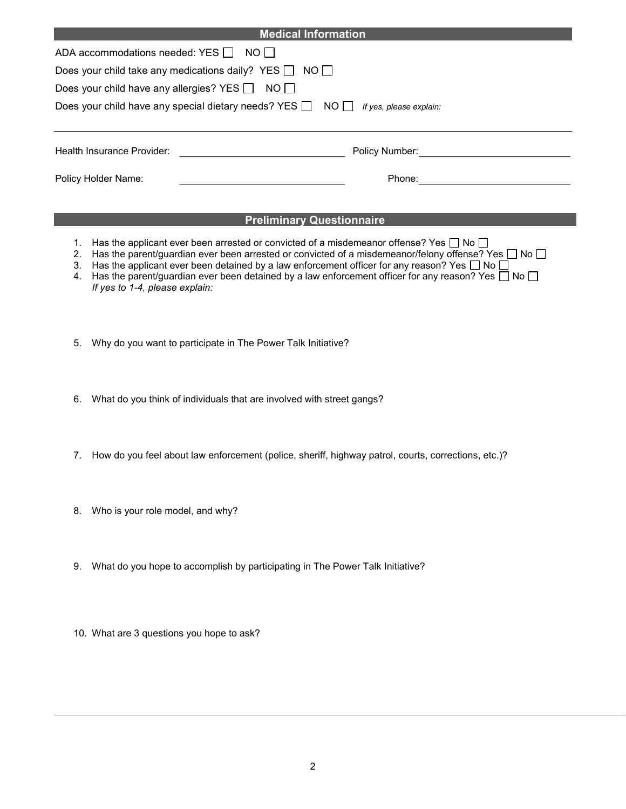| <b>Medical Information</b>                                                                      |                |  |  |  |  |  |  |  |
|-------------------------------------------------------------------------------------------------|----------------|--|--|--|--|--|--|--|
| ADA accommodations needed: YES $\Box$ NO $\Box$                                                 |                |  |  |  |  |  |  |  |
| Does your child take any medications daily? YES $\Box$ NO $\Box$                                |                |  |  |  |  |  |  |  |
| Does your child have any allergies? YES $\Box$                                                  | NO II          |  |  |  |  |  |  |  |
| Does your child have any special dietary needs? YES $\Box$ NO $\Box$<br>If yes, please explain: |                |  |  |  |  |  |  |  |
|                                                                                                 |                |  |  |  |  |  |  |  |
| Health Insurance Provider:                                                                      | Policy Number: |  |  |  |  |  |  |  |
| Policy Holder Name:                                                                             | Phone:         |  |  |  |  |  |  |  |
|                                                                                                 |                |  |  |  |  |  |  |  |

## Preliminary Questionnaire

- 1. Has the applicant ever been arrested or convicted of a misdemeanor offense? Yes  $\Box$  No  $\Box$
- 2. Has the parent/guardian ever been arrested or convicted of a misdemeanor/felony offense? Yes  $\Box$  No  $\Box$
- 3. Has the applicant ever been detained by a law enforcement officer for any reason? Yes  $\Box$  No  $\Box$
- 4. Has the parent/guardian ever been detained by a law enforcement officer for any reason? Yes  $\Box$  No  $\Box$ If yes to 1-4, please explain:
- 5. Why do you want to participate in The Power Talk Initiative?
- 6. What do you think of individuals that are involved with street gangs?
- 7. How do you feel about law enforcement (police, sheriff, highway patrol, courts, corrections, etc.)?
- 8. Who is your role model, and why?
- 9. What do you hope to accomplish by participating in The Power Talk Initiative?
- 10. What are 3 questions you hope to ask?